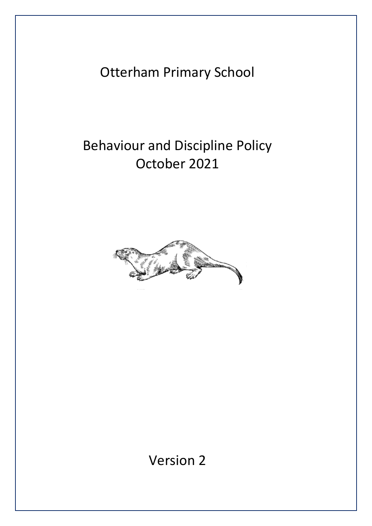Otterham Primary School

# Behaviour and Discipline Policy October 2021



Version 2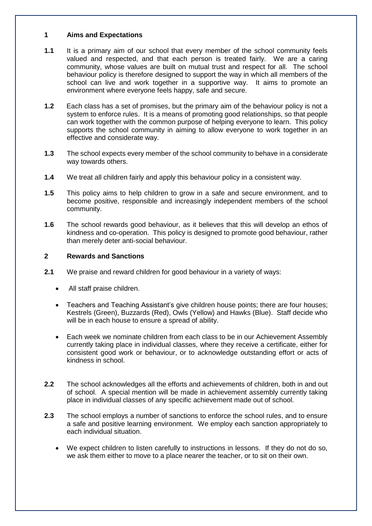#### **1 Aims and Expectations**

- **1.1** It is a primary aim of our school that every member of the school community feels valued and respected, and that each person is treated fairly. We are a caring community, whose values are built on mutual trust and respect for all. The school behaviour policy is therefore designed to support the way in which all members of the school can live and work together in a supportive way. It aims to promote an environment where everyone feels happy, safe and secure.
- **1.2** Each class has a set of promises, but the primary aim of the behaviour policy is not a system to enforce rules. It is a means of promoting good relationships, so that people can work together with the common purpose of helping everyone to learn. This policy supports the school community in aiming to allow everyone to work together in an effective and considerate way.
- **1.3** The school expects every member of the school community to behave in a considerate way towards others.
- **1.4** We treat all children fairly and apply this behaviour policy in a consistent way.
- **1.5** This policy aims to help children to grow in a safe and secure environment, and to become positive, responsible and increasingly independent members of the school community.
- **1.6** The school rewards good behaviour, as it believes that this will develop an ethos of kindness and co-operation. This policy is designed to promote good behaviour, rather than merely deter anti-social behaviour.

## **2 Rewards and Sanctions**

- **2.1** We praise and reward children for good behaviour in a variety of ways:
	- All staff praise children.
	- Teachers and Teaching Assistant's give children house points; there are four houses; Kestrels (Green), Buzzards (Red), Owls (Yellow) and Hawks (Blue). Staff decide who will be in each house to ensure a spread of ability.
	- Each week we nominate children from each class to be in our Achievement Assembly currently taking place in individual classes, where they receive a certificate, either for consistent good work or behaviour, or to acknowledge outstanding effort or acts of kindness in school.
- **2.2** The school acknowledges all the efforts and achievements of children, both in and out of school. A special mention will be made in achievement assembly currently taking place in individual classes of any specific achievement made out of school.
- **2.3** The school employs a number of sanctions to enforce the school rules, and to ensure a safe and positive learning environment. We employ each sanction appropriately to each individual situation.
	- We expect children to listen carefully to instructions in lessons. If they do not do so, we ask them either to move to a place nearer the teacher, or to sit on their own.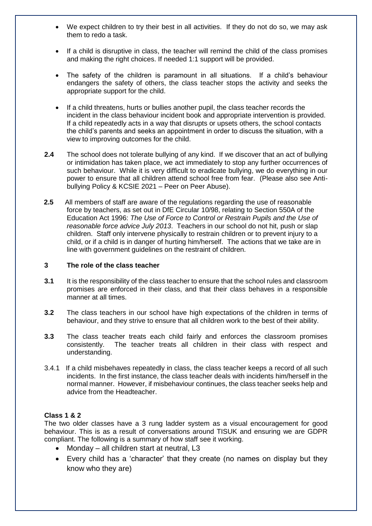- We expect children to try their best in all activities. If they do not do so, we may ask them to redo a task.
- If a child is disruptive in class, the teacher will remind the child of the class promises and making the right choices. If needed 1:1 support will be provided.
- The safety of the children is paramount in all situations. If a child's behaviour endangers the safety of others, the class teacher stops the activity and seeks the appropriate support for the child.
- If a child threatens, hurts or bullies another pupil, the class teacher records the incident in the class behaviour incident book and appropriate intervention is provided. If a child repeatedly acts in a way that disrupts or upsets others, the school contacts the child's parents and seeks an appointment in order to discuss the situation, with a view to improving outcomes for the child.
- **2.4** The school does not tolerate bullying of any kind. If we discover that an act of bullying or intimidation has taken place, we act immediately to stop any further occurrences of such behaviour. While it is very difficult to eradicate bullying, we do everything in our power to ensure that all children attend school free from fear. (Please also see Antibullying Policy & KCSIE 2021 – Peer on Peer Abuse).
- **2.5** All members of staff are aware of the regulations regarding the use of reasonable force by teachers, as set out in DfE Circular 10/98, relating to Section 550A of the Education Act 1996: *The Use of Force to Control or Restrain Pupils and the Use of reasonable force advice July 2013*. Teachers in our school do not hit, push or slap children. Staff only intervene physically to restrain children or to prevent injury to a child, or if a child is in danger of hurting him/herself. The actions that we take are in line with government guidelines on the restraint of children.

#### **3 The role of the class teacher**

- **3.1** It is the responsibility of the class teacher to ensure that the school rules and classroom promises are enforced in their class, and that their class behaves in a responsible manner at all times.
- **3.2** The class teachers in our school have high expectations of the children in terms of behaviour, and they strive to ensure that all children work to the best of their ability.
- **3.3** The class teacher treats each child fairly and enforces the classroom promises consistently. The teacher treats all children in their class with respect and understanding.
- 3.4.1 If a child misbehaves repeatedly in class, the class teacher keeps a record of all such incidents. In the first instance, the class teacher deals with incidents him/herself in the normal manner. However, if misbehaviour continues, the class teacher seeks help and advice from the Headteacher.

#### **Class 1 & 2**

The two older classes have a 3 rung ladder system as a visual encouragement for good behaviour. This is as a result of conversations around TISUK and ensuring we are GDPR compliant. The following is a summary of how staff see it working.

- Monday all children start at neutral, L3
- Every child has a 'character' that they create (no names on display but they know who they are)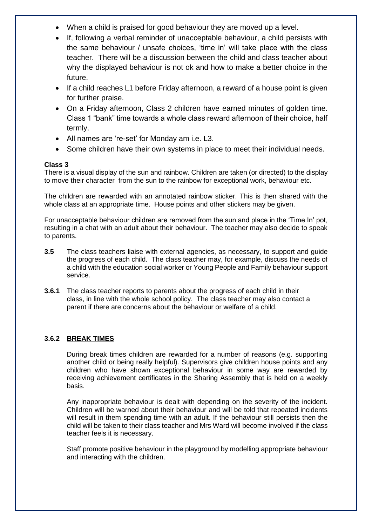- When a child is praised for good behaviour they are moved up a level.
- If, following a verbal reminder of unacceptable behaviour, a child persists with the same behaviour / unsafe choices, 'time in' will take place with the class teacher. There will be a discussion between the child and class teacher about why the displayed behaviour is not ok and how to make a better choice in the future.
- If a child reaches L1 before Friday afternoon, a reward of a house point is given for further praise.
- On a Friday afternoon, Class 2 children have earned minutes of golden time. Class 1 "bank" time towards a whole class reward afternoon of their choice, half termly.
- All names are 're-set' for Monday am i.e. L3.
- Some children have their own systems in place to meet their individual needs.

## **Class 3**

There is a visual display of the sun and rainbow. Children are taken (or directed) to the display to move their character from the sun to the rainbow for exceptional work, behaviour etc.

The children are rewarded with an annotated rainbow sticker. This is then shared with the whole class at an appropriate time. House points and other stickers may be given.

For unacceptable behaviour children are removed from the sun and place in the 'Time In' pot, resulting in a chat with an adult about their behaviour. The teacher may also decide to speak to parents.

- **3.5** The class teachers liaise with external agencies, as necessary, to support and guide the progress of each child. The class teacher may, for example, discuss the needs of a child with the education social worker or Young People and Family behaviour support service.
- **3.6.1** The class teacher reports to parents about the progress of each child in their class, in line with the whole school policy. The class teacher may also contact a parent if there are concerns about the behaviour or welfare of a child.

# **3.6.2 BREAK TIMES**

During break times children are rewarded for a number of reasons (e.g. supporting another child or being really helpful). Supervisors give children house points and any children who have shown exceptional behaviour in some way are rewarded by receiving achievement certificates in the Sharing Assembly that is held on a weekly basis.

Any inappropriate behaviour is dealt with depending on the severity of the incident. Children will be warned about their behaviour and will be told that repeated incidents will result in them spending time with an adult. If the behaviour still persists then the child will be taken to their class teacher and Mrs Ward will become involved if the class teacher feels it is necessary.

Staff promote positive behaviour in the playground by modelling appropriate behaviour and interacting with the children.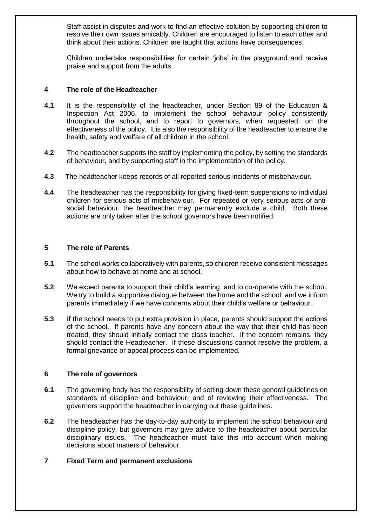Staff assist in disputes and work to find an effective solution by supporting children to resolve their own issues amicably. Children are encouraged to listen to each other and think about their actions. Children are taught that actions have consequences.

Children undertake responsibilities for certain 'jobs' in the playground and receive praise and support from the adults.

#### **4 The role of the Headteacher**

- **4.1** It is the responsibility of the headteacher, under Section 89 of the Education & Inspection Act 2006, to implement the school behaviour policy consistently throughout the school, and to report to governors, when requested, on the effectiveness of the policy. It is also the responsibility of the headteacher to ensure the health, safety and welfare of all children in the school.
- **4.2** The headteacher supports the staff by implementing the policy, by setting the standards of behaviour, and by supporting staff in the implementation of the policy.
- **4.3** The headteacher keeps records of all reported serious incidents of misbehaviour.
- **4.4** The headteacher has the responsibility for giving fixed-term suspensions to individual children for serious acts of misbehaviour. For repeated or very serious acts of antisocial behaviour, the headteacher may permanently exclude a child. Both these actions are only taken after the school governors have been notified.

#### **5 The role of Parents**

- **5.1** The school works collaboratively with parents, so children receive consistent messages about how to behave at home and at school.
- **5.2** We expect parents to support their child's learning, and to co-operate with the school. We try to build a supportive dialogue between the home and the school, and we inform parents immediately if we have concerns about their child's welfare or behaviour.
- **5.3** If the school needs to put extra provision in place, parents should support the actions of the school. If parents have any concern about the way that their child has been treated, they should initially contact the class teacher. If the concern remains, they should contact the Headteacher. If these discussions cannot resolve the problem, a formal grievance or appeal process can be implemented.

#### **6 The role of governors**

- **6.1** The governing body has the responsibility of setting down these general guidelines on standards of discipline and behaviour, and of reviewing their effectiveness. The governors support the headteacher in carrying out these guidelines.
- **6.2** The headteacher has the day-to-day authority to implement the school behaviour and discipline policy, but governors may give advice to the headteacher about particular disciplinary issues. The headteacher must take this into account when making decisions about matters of behaviour.

# **7 Fixed Term and permanent exclusions**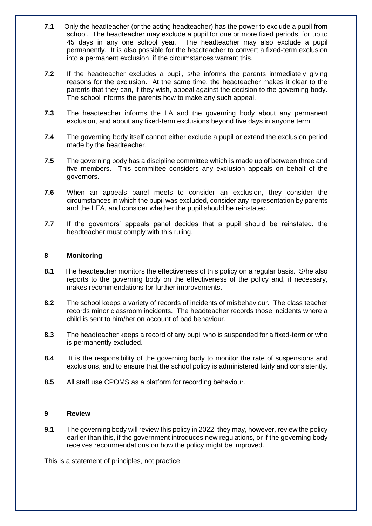- **7.1** Only the headteacher (or the acting headteacher) has the power to exclude a pupil from school. The headteacher may exclude a pupil for one or more fixed periods, for up to 45 days in any one school year. The headteacher may also exclude a pupil permanently. It is also possible for the headteacher to convert a fixed-term exclusion into a permanent exclusion, if the circumstances warrant this.
- **7.2** If the headteacher excludes a pupil, s/he informs the parents immediately giving reasons for the exclusion. At the same time, the headteacher makes it clear to the parents that they can, if they wish, appeal against the decision to the governing body. The school informs the parents how to make any such appeal.
- **7.3** The headteacher informs the LA and the governing body about any permanent exclusion, and about any fixed-term exclusions beyond five days in anyone term.
- **7.4** The governing body itself cannot either exclude a pupil or extend the exclusion period made by the headteacher.
- **7.5** The governing body has a discipline committee which is made up of between three and five members. This committee considers any exclusion appeals on behalf of the governors.
- **7.6** When an appeals panel meets to consider an exclusion, they consider the circumstances in which the pupil was excluded, consider any representation by parents and the LEA, and consider whether the pupil should be reinstated.
- **7.7** If the governors' appeals panel decides that a pupil should be reinstated, the headteacher must comply with this ruling.

#### **8 Monitoring**

- **8.1** The headteacher monitors the effectiveness of this policy on a regular basis. S/he also reports to the governing body on the effectiveness of the policy and, if necessary, makes recommendations for further improvements.
- **8.2** The school keeps a variety of records of incidents of misbehaviour. The class teacher records minor classroom incidents. The headteacher records those incidents where a child is sent to him/her on account of bad behaviour.
- **8.3** The headteacher keeps a record of any pupil who is suspended for a fixed-term or who is permanently excluded.
- **8.4** It is the responsibility of the governing body to monitor the rate of suspensions and exclusions, and to ensure that the school policy is administered fairly and consistently.
- **8.5** All staff use CPOMS as a platform for recording behaviour.

#### **9 Review**

**9.1** The governing body will review this policy in 2022, they may, however, review the policy earlier than this, if the government introduces new regulations, or if the governing body receives recommendations on how the policy might be improved.

This is a statement of principles, not practice.